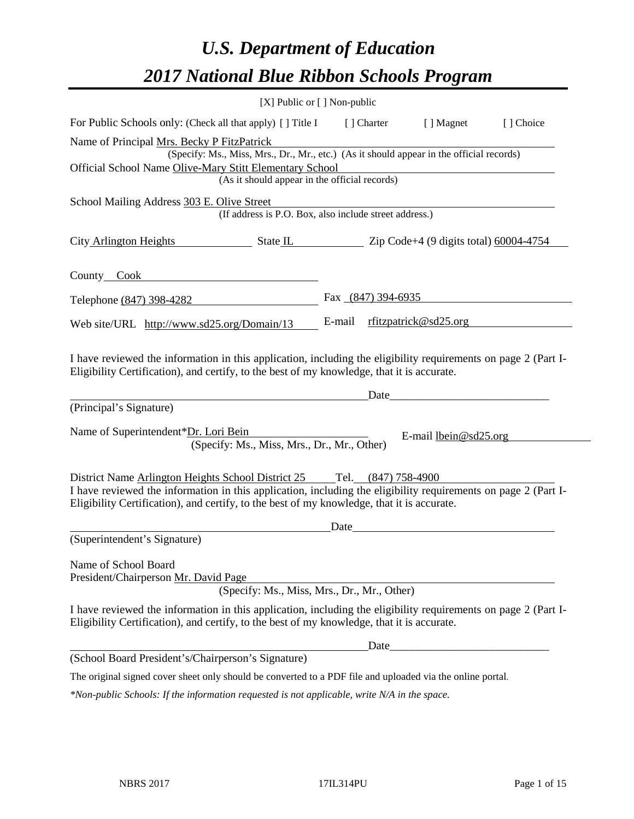# *U.S. Department of Education 2017 National Blue Ribbon Schools Program*

|                                                                                                                                                                                                              | [X] Public or [] Non-public |                      |                              |           |
|--------------------------------------------------------------------------------------------------------------------------------------------------------------------------------------------------------------|-----------------------------|----------------------|------------------------------|-----------|
| For Public Schools only: (Check all that apply) [] Title I                                                                                                                                                   |                             | [ ] Charter          | [ ] Magnet                   | [] Choice |
| Name of Principal Mrs. Becky P FitzPatrick                                                                                                                                                                   |                             |                      |                              |           |
| (Specify: Ms., Miss, Mrs., Dr., Mr., etc.) (As it should appear in the official records)                                                                                                                     |                             |                      |                              |           |
| Official School Name Olive-Mary Stitt Elementary School<br>(As it should appear in the official records)                                                                                                     |                             |                      |                              |           |
|                                                                                                                                                                                                              |                             |                      |                              |           |
| School Mailing Address 303 E. Olive Street<br>(If address is P.O. Box, also include street address.)                                                                                                         |                             |                      |                              |           |
|                                                                                                                                                                                                              |                             |                      |                              |           |
| City Arlington Heights State IL Zip Code+4 (9 digits total) 60004-4754                                                                                                                                       |                             |                      |                              |           |
|                                                                                                                                                                                                              |                             |                      |                              |           |
| County Cook County Cook                                                                                                                                                                                      |                             |                      |                              |           |
| Telephone (847) 398-4282                                                                                                                                                                                     |                             | Fax $(847)$ 394-6935 |                              |           |
| Web site/URL http://www.sd25.org/Domain/13                                                                                                                                                                   |                             |                      | E-mail rfitzpatrick@sd25.org |           |
| Eligibility Certification), and certify, to the best of my knowledge, that it is accurate.                                                                                                                   |                             | Date                 |                              |           |
| (Principal's Signature)                                                                                                                                                                                      |                             |                      |                              |           |
| Name of Superintendent*Dr. Lori Bein<br>(Specify: Ms., Miss, Mrs., Dr., Mr., Other)                                                                                                                          |                             |                      | E-mail $lbein@sd25.org$      |           |
|                                                                                                                                                                                                              |                             |                      |                              |           |
| District Name Arlington Heights School District 25 Tel. (847) 758-4900                                                                                                                                       |                             |                      |                              |           |
| I have reviewed the information in this application, including the eligibility requirements on page 2 (Part I-<br>Eligibility Certification), and certify, to the best of my knowledge, that it is accurate. |                             |                      |                              |           |
|                                                                                                                                                                                                              | Date                        |                      |                              |           |
| (Superintendent's Signature)                                                                                                                                                                                 |                             |                      |                              |           |
| Name of School Board<br>President/Chairperson Mr. David Page                                                                                                                                                 |                             |                      |                              |           |
| (Specify: Ms., Miss, Mrs., Dr., Mr., Other)                                                                                                                                                                  |                             |                      |                              |           |
| I have reviewed the information in this application, including the eligibility requirements on page 2 (Part I-<br>Eligibility Certification), and certify, to the best of my knowledge, that it is accurate. |                             |                      |                              |           |
|                                                                                                                                                                                                              |                             | Date_                |                              |           |
| (School Board President's/Chairperson's Signature)                                                                                                                                                           |                             |                      |                              |           |
| The original signed cover sheet only should be converted to a PDF file and uploaded via the online portal.                                                                                                   |                             |                      |                              |           |
|                                                                                                                                                                                                              |                             |                      |                              |           |

*\*Non-public Schools: If the information requested is not applicable, write N/A in the space.*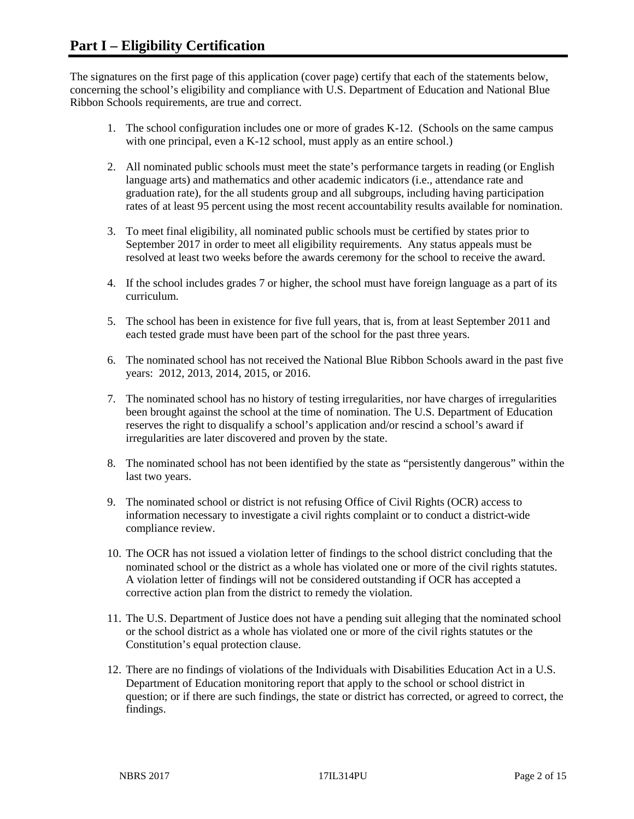The signatures on the first page of this application (cover page) certify that each of the statements below, concerning the school's eligibility and compliance with U.S. Department of Education and National Blue Ribbon Schools requirements, are true and correct.

- 1. The school configuration includes one or more of grades K-12. (Schools on the same campus with one principal, even a K-12 school, must apply as an entire school.)
- 2. All nominated public schools must meet the state's performance targets in reading (or English language arts) and mathematics and other academic indicators (i.e., attendance rate and graduation rate), for the all students group and all subgroups, including having participation rates of at least 95 percent using the most recent accountability results available for nomination.
- 3. To meet final eligibility, all nominated public schools must be certified by states prior to September 2017 in order to meet all eligibility requirements. Any status appeals must be resolved at least two weeks before the awards ceremony for the school to receive the award.
- 4. If the school includes grades 7 or higher, the school must have foreign language as a part of its curriculum.
- 5. The school has been in existence for five full years, that is, from at least September 2011 and each tested grade must have been part of the school for the past three years.
- 6. The nominated school has not received the National Blue Ribbon Schools award in the past five years: 2012, 2013, 2014, 2015, or 2016.
- 7. The nominated school has no history of testing irregularities, nor have charges of irregularities been brought against the school at the time of nomination. The U.S. Department of Education reserves the right to disqualify a school's application and/or rescind a school's award if irregularities are later discovered and proven by the state.
- 8. The nominated school has not been identified by the state as "persistently dangerous" within the last two years.
- 9. The nominated school or district is not refusing Office of Civil Rights (OCR) access to information necessary to investigate a civil rights complaint or to conduct a district-wide compliance review.
- 10. The OCR has not issued a violation letter of findings to the school district concluding that the nominated school or the district as a whole has violated one or more of the civil rights statutes. A violation letter of findings will not be considered outstanding if OCR has accepted a corrective action plan from the district to remedy the violation.
- 11. The U.S. Department of Justice does not have a pending suit alleging that the nominated school or the school district as a whole has violated one or more of the civil rights statutes or the Constitution's equal protection clause.
- 12. There are no findings of violations of the Individuals with Disabilities Education Act in a U.S. Department of Education monitoring report that apply to the school or school district in question; or if there are such findings, the state or district has corrected, or agreed to correct, the findings.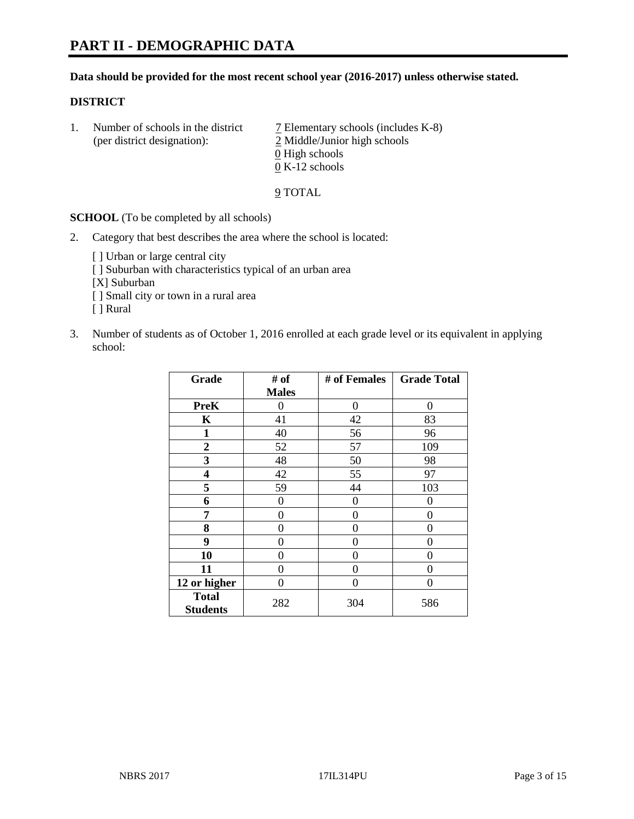#### **Data should be provided for the most recent school year (2016-2017) unless otherwise stated.**

## **DISTRICT**

1. Number of schools in the district  $\overline{7}$  Elementary schools (includes K-8) (per district designation): 2 Middle/Junior high schools  $\underline{0}$  High schools 0 K-12 schools

#### 9 TOTAL

**SCHOOL** (To be completed by all schools)

- 2. Category that best describes the area where the school is located:
	- [] Urban or large central city [ ] Suburban with characteristics typical of an urban area [X] Suburban [ ] Small city or town in a rural area [ ] Rural
- 3. Number of students as of October 1, 2016 enrolled at each grade level or its equivalent in applying school:

| Grade                           | # of         | # of Females | <b>Grade Total</b> |
|---------------------------------|--------------|--------------|--------------------|
|                                 | <b>Males</b> |              |                    |
| <b>PreK</b>                     | 0            | 0            | 0                  |
| K                               | 41           | 42           | 83                 |
| $\mathbf{1}$                    | 40           | 56           | 96                 |
| $\overline{2}$                  | 52           | 57           | 109                |
| 3                               | 48           | 50           | 98                 |
| 4                               | 42           | 55           | 97                 |
| 5                               | 59           | 44           | 103                |
| 6                               | $\theta$     | $\theta$     | 0                  |
| 7                               | 0            | 0            | 0                  |
| 8                               | $\theta$     | $\theta$     | 0                  |
| 9                               | 0            | 0            | 0                  |
| 10                              | $\theta$     | 0            | 0                  |
| 11                              | 0            | 0            | 0                  |
| 12 or higher                    | 0            | 0            | 0                  |
| <b>Total</b><br><b>Students</b> | 282          | 304          | 586                |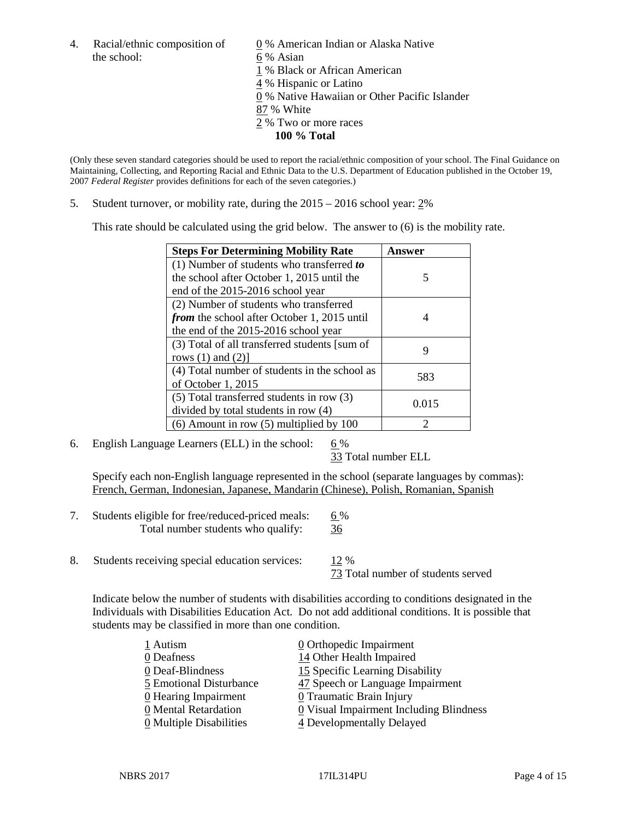the school: 6 % Asian

4. Racial/ethnic composition of  $\qquad \qquad \underline{0}$  % American Indian or Alaska Native 1 % Black or African American 4 % Hispanic or Latino 0 % Native Hawaiian or Other Pacific Islander 87 % White

- 2 % Two or more races
	- **100 % Total**

(Only these seven standard categories should be used to report the racial/ethnic composition of your school. The Final Guidance on Maintaining, Collecting, and Reporting Racial and Ethnic Data to the U.S. Department of Education published in the October 19, 2007 *Federal Register* provides definitions for each of the seven categories.)

5. Student turnover, or mobility rate, during the 2015 – 2016 school year: 2%

This rate should be calculated using the grid below. The answer to (6) is the mobility rate.

| <b>Steps For Determining Mobility Rate</b>         | Answer |  |
|----------------------------------------------------|--------|--|
| (1) Number of students who transferred to          |        |  |
| the school after October 1, 2015 until the         | 5      |  |
| end of the 2015-2016 school year                   |        |  |
| (2) Number of students who transferred             |        |  |
| <i>from</i> the school after October 1, 2015 until |        |  |
| the end of the 2015-2016 school year               |        |  |
| (3) Total of all transferred students [sum of      | 9      |  |
| rows $(1)$ and $(2)$ ]                             |        |  |
| (4) Total number of students in the school as      | 583    |  |
| of October 1, 2015                                 |        |  |
| (5) Total transferred students in row (3)          | 0.015  |  |
| divided by total students in row (4)               |        |  |
| $(6)$ Amount in row $(5)$ multiplied by 100        |        |  |

6. English Language Learners (ELL) in the school:  $6\%$ 

33 Total number ELL

Specify each non-English language represented in the school (separate languages by commas): French, German, Indonesian, Japanese, Mandarin (Chinese), Polish, Romanian, Spanish

- 7. Students eligible for free/reduced-priced meals:  $6\%$ Total number students who qualify: 36
- 8. Students receiving special education services: 12 %

73 Total number of students served

Indicate below the number of students with disabilities according to conditions designated in the Individuals with Disabilities Education Act. Do not add additional conditions. It is possible that students may be classified in more than one condition.

| 1 Autism                              | $\underline{0}$ Orthopedic Impairment   |
|---------------------------------------|-----------------------------------------|
| 0 Deafness                            | 14 Other Health Impaired                |
| 0 Deaf-Blindness                      | 15 Specific Learning Disability         |
| 5 Emotional Disturbance               | 47 Speech or Language Impairment        |
| 0 Hearing Impairment                  | 0 Traumatic Brain Injury                |
| 0 Mental Retardation                  | 0 Visual Impairment Including Blindness |
| $\underline{0}$ Multiple Disabilities | 4 Developmentally Delayed               |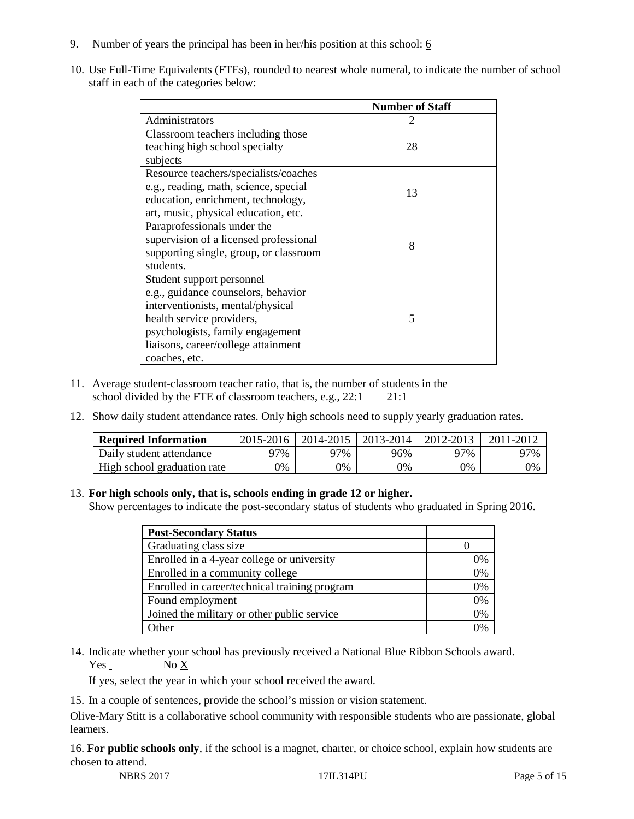- 9. Number of years the principal has been in her/his position at this school:  $6$
- 10. Use Full-Time Equivalents (FTEs), rounded to nearest whole numeral, to indicate the number of school staff in each of the categories below:

|                                        | <b>Number of Staff</b> |
|----------------------------------------|------------------------|
| Administrators                         |                        |
| Classroom teachers including those     |                        |
| teaching high school specialty         | 28                     |
| subjects                               |                        |
| Resource teachers/specialists/coaches  |                        |
| e.g., reading, math, science, special  | 13                     |
| education, enrichment, technology,     |                        |
| art, music, physical education, etc.   |                        |
| Paraprofessionals under the            |                        |
| supervision of a licensed professional | 8                      |
| supporting single, group, or classroom |                        |
| students.                              |                        |
| Student support personnel              |                        |
| e.g., guidance counselors, behavior    |                        |
| interventionists, mental/physical      |                        |
| health service providers,              | 5                      |
| psychologists, family engagement       |                        |
| liaisons, career/college attainment    |                        |
| coaches, etc.                          |                        |

- 11. Average student-classroom teacher ratio, that is, the number of students in the school divided by the FTE of classroom teachers, e.g., 22:1 21:1
- 12. Show daily student attendance rates. Only high schools need to supply yearly graduation rates.

| <b>Required Information</b> | 2015-2016 | 2014-2015 | 2013-2014 | 2012-2013 |     |
|-----------------------------|-----------|-----------|-----------|-----------|-----|
| Daily student attendance    | า7%       | 97%       | 96%       | ว7%       | 97% |
| High school graduation rate | 0%        | 0%        | 0%        | 9%        | 0%  |

#### 13. **For high schools only, that is, schools ending in grade 12 or higher.**

Show percentages to indicate the post-secondary status of students who graduated in Spring 2016.

| <b>Post-Secondary Status</b>                  |    |
|-----------------------------------------------|----|
| Graduating class size                         |    |
| Enrolled in a 4-year college or university    | 0% |
| Enrolled in a community college               | 0% |
| Enrolled in career/technical training program | 0% |
| Found employment                              | 0% |
| Joined the military or other public service   | 0% |
| )ther                                         |    |

14. Indicate whether your school has previously received a National Blue Ribbon Schools award.  $Yes$  No  $X$ 

If yes, select the year in which your school received the award.

15. In a couple of sentences, provide the school's mission or vision statement.

Olive-Mary Stitt is a collaborative school community with responsible students who are passionate, global learners.

16. **For public schools only**, if the school is a magnet, charter, or choice school, explain how students are chosen to attend.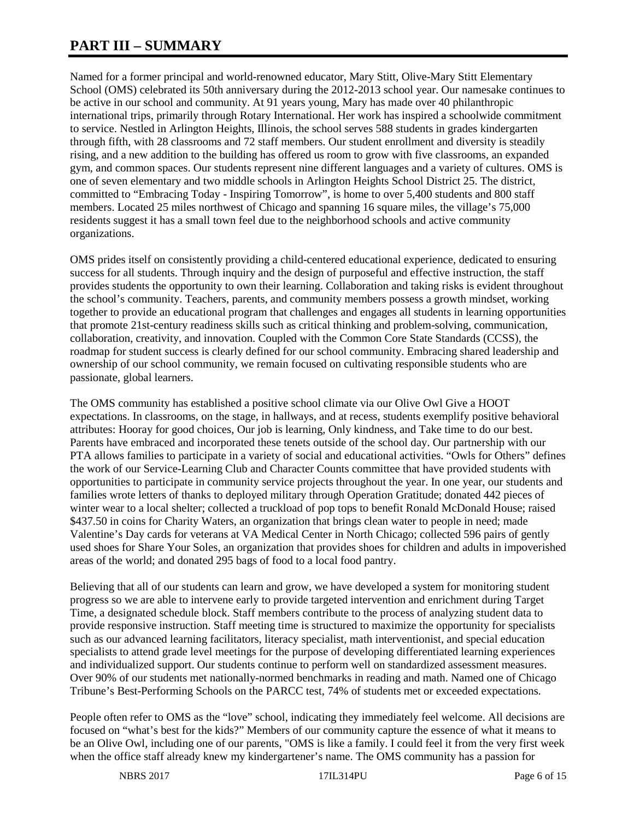# **PART III – SUMMARY**

Named for a former principal and world-renowned educator, Mary Stitt, Olive-Mary Stitt Elementary School (OMS) celebrated its 50th anniversary during the 2012-2013 school year. Our namesake continues to be active in our school and community. At 91 years young, Mary has made over 40 philanthropic international trips, primarily through Rotary International. Her work has inspired a schoolwide commitment to service. Nestled in Arlington Heights, Illinois, the school serves 588 students in grades kindergarten through fifth, with 28 classrooms and 72 staff members. Our student enrollment and diversity is steadily rising, and a new addition to the building has offered us room to grow with five classrooms, an expanded gym, and common spaces. Our students represent nine different languages and a variety of cultures. OMS is one of seven elementary and two middle schools in Arlington Heights School District 25. The district, committed to "Embracing Today - Inspiring Tomorrow", is home to over 5,400 students and 800 staff members. Located 25 miles northwest of Chicago and spanning 16 square miles, the village's 75,000 residents suggest it has a small town feel due to the neighborhood schools and active community organizations.

OMS prides itself on consistently providing a child-centered educational experience, dedicated to ensuring success for all students. Through inquiry and the design of purposeful and effective instruction, the staff provides students the opportunity to own their learning. Collaboration and taking risks is evident throughout the school's community. Teachers, parents, and community members possess a growth mindset, working together to provide an educational program that challenges and engages all students in learning opportunities that promote 21st-century readiness skills such as critical thinking and problem-solving, communication, collaboration, creativity, and innovation. Coupled with the Common Core State Standards (CCSS), the roadmap for student success is clearly defined for our school community. Embracing shared leadership and ownership of our school community, we remain focused on cultivating responsible students who are passionate, global learners.

The OMS community has established a positive school climate via our Olive Owl Give a HOOT expectations. In classrooms, on the stage, in hallways, and at recess, students exemplify positive behavioral attributes: Hooray for good choices, Our job is learning, Only kindness, and Take time to do our best. Parents have embraced and incorporated these tenets outside of the school day. Our partnership with our PTA allows families to participate in a variety of social and educational activities. "Owls for Others" defines the work of our Service-Learning Club and Character Counts committee that have provided students with opportunities to participate in community service projects throughout the year. In one year, our students and families wrote letters of thanks to deployed military through Operation Gratitude; donated 442 pieces of winter wear to a local shelter; collected a truckload of pop tops to benefit Ronald McDonald House; raised \$437.50 in coins for Charity Waters, an organization that brings clean water to people in need; made Valentine's Day cards for veterans at VA Medical Center in North Chicago; collected 596 pairs of gently used shoes for Share Your Soles, an organization that provides shoes for children and adults in impoverished areas of the world; and donated 295 bags of food to a local food pantry.

Believing that all of our students can learn and grow, we have developed a system for monitoring student progress so we are able to intervene early to provide targeted intervention and enrichment during Target Time, a designated schedule block. Staff members contribute to the process of analyzing student data to provide responsive instruction. Staff meeting time is structured to maximize the opportunity for specialists such as our advanced learning facilitators, literacy specialist, math interventionist, and special education specialists to attend grade level meetings for the purpose of developing differentiated learning experiences and individualized support. Our students continue to perform well on standardized assessment measures. Over 90% of our students met nationally-normed benchmarks in reading and math. Named one of Chicago Tribune's Best-Performing Schools on the PARCC test, 74% of students met or exceeded expectations.

People often refer to OMS as the "love" school, indicating they immediately feel welcome. All decisions are focused on "what's best for the kids?" Members of our community capture the essence of what it means to be an Olive Owl, including one of our parents, "OMS is like a family. I could feel it from the very first week when the office staff already knew my kindergartener's name. The OMS community has a passion for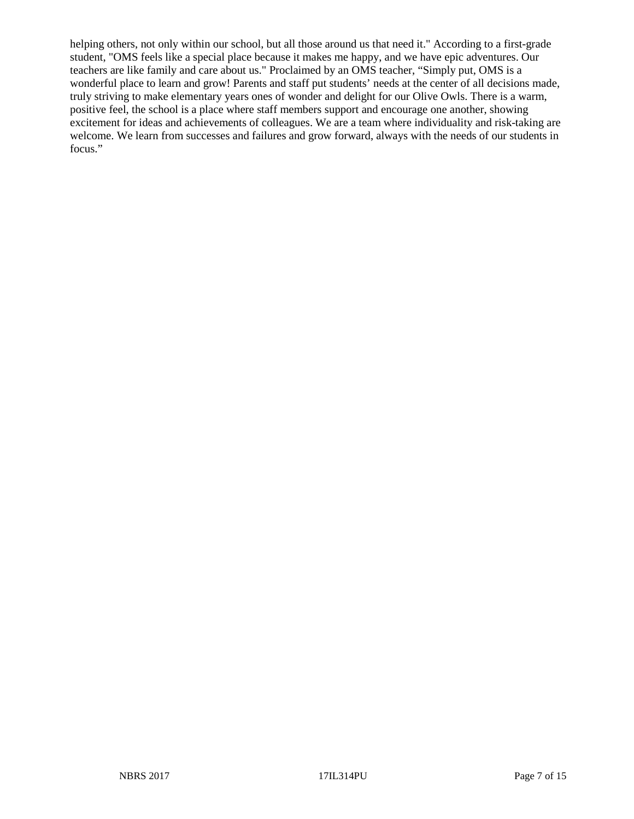helping others, not only within our school, but all those around us that need it." According to a first-grade student, "OMS feels like a special place because it makes me happy, and we have epic adventures. Our teachers are like family and care about us." Proclaimed by an OMS teacher, "Simply put, OMS is a wonderful place to learn and grow! Parents and staff put students' needs at the center of all decisions made, truly striving to make elementary years ones of wonder and delight for our Olive Owls. There is a warm, positive feel, the school is a place where staff members support and encourage one another, showing excitement for ideas and achievements of colleagues. We are a team where individuality and risk-taking are welcome. We learn from successes and failures and grow forward, always with the needs of our students in focus."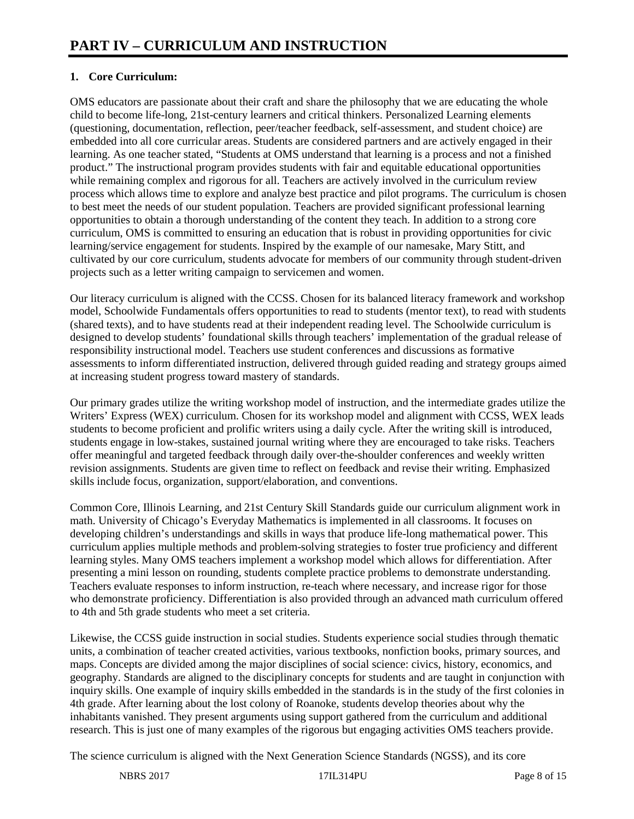# **1. Core Curriculum:**

OMS educators are passionate about their craft and share the philosophy that we are educating the whole child to become life-long, 21st-century learners and critical thinkers. Personalized Learning elements (questioning, documentation, reflection, peer/teacher feedback, self-assessment, and student choice) are embedded into all core curricular areas. Students are considered partners and are actively engaged in their learning. As one teacher stated, "Students at OMS understand that learning is a process and not a finished product." The instructional program provides students with fair and equitable educational opportunities while remaining complex and rigorous for all. Teachers are actively involved in the curriculum review process which allows time to explore and analyze best practice and pilot programs. The curriculum is chosen to best meet the needs of our student population. Teachers are provided significant professional learning opportunities to obtain a thorough understanding of the content they teach. In addition to a strong core curriculum, OMS is committed to ensuring an education that is robust in providing opportunities for civic learning/service engagement for students. Inspired by the example of our namesake, Mary Stitt, and cultivated by our core curriculum, students advocate for members of our community through student-driven projects such as a letter writing campaign to servicemen and women.

Our literacy curriculum is aligned with the CCSS. Chosen for its balanced literacy framework and workshop model, Schoolwide Fundamentals offers opportunities to read to students (mentor text), to read with students (shared texts), and to have students read at their independent reading level. The Schoolwide curriculum is designed to develop students' foundational skills through teachers' implementation of the gradual release of responsibility instructional model. Teachers use student conferences and discussions as formative assessments to inform differentiated instruction, delivered through guided reading and strategy groups aimed at increasing student progress toward mastery of standards.

Our primary grades utilize the writing workshop model of instruction, and the intermediate grades utilize the Writers' Express (WEX) curriculum. Chosen for its workshop model and alignment with CCSS, WEX leads students to become proficient and prolific writers using a daily cycle. After the writing skill is introduced, students engage in low-stakes, sustained journal writing where they are encouraged to take risks. Teachers offer meaningful and targeted feedback through daily over-the-shoulder conferences and weekly written revision assignments. Students are given time to reflect on feedback and revise their writing. Emphasized skills include focus, organization, support/elaboration, and conventions.

Common Core, Illinois Learning, and 21st Century Skill Standards guide our curriculum alignment work in math. University of Chicago's Everyday Mathematics is implemented in all classrooms. It focuses on developing children's understandings and skills in ways that produce life-long mathematical power. This curriculum applies multiple methods and problem-solving strategies to foster true proficiency and different learning styles. Many OMS teachers implement a workshop model which allows for differentiation. After presenting a mini lesson on rounding, students complete practice problems to demonstrate understanding. Teachers evaluate responses to inform instruction, re-teach where necessary, and increase rigor for those who demonstrate proficiency. Differentiation is also provided through an advanced math curriculum offered to 4th and 5th grade students who meet a set criteria.

Likewise, the CCSS guide instruction in social studies. Students experience social studies through thematic units, a combination of teacher created activities, various textbooks, nonfiction books, primary sources, and maps. Concepts are divided among the major disciplines of social science: civics, history, economics, and geography. Standards are aligned to the disciplinary concepts for students and are taught in conjunction with inquiry skills. One example of inquiry skills embedded in the standards is in the study of the first colonies in 4th grade. After learning about the lost colony of Roanoke, students develop theories about why the inhabitants vanished. They present arguments using support gathered from the curriculum and additional research. This is just one of many examples of the rigorous but engaging activities OMS teachers provide.

The science curriculum is aligned with the Next Generation Science Standards (NGSS), and its core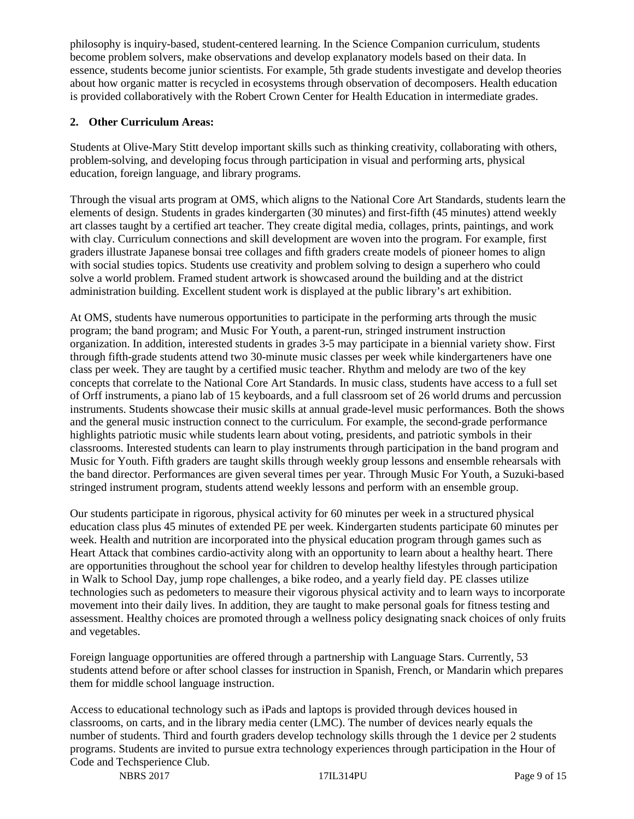philosophy is inquiry-based, student-centered learning. In the Science Companion curriculum, students become problem solvers, make observations and develop explanatory models based on their data. In essence, students become junior scientists. For example, 5th grade students investigate and develop theories about how organic matter is recycled in ecosystems through observation of decomposers. Health education is provided collaboratively with the Robert Crown Center for Health Education in intermediate grades.

# **2. Other Curriculum Areas:**

Students at Olive-Mary Stitt develop important skills such as thinking creativity, collaborating with others, problem-solving, and developing focus through participation in visual and performing arts, physical education, foreign language, and library programs.

Through the visual arts program at OMS, which aligns to the National Core Art Standards, students learn the elements of design. Students in grades kindergarten (30 minutes) and first-fifth (45 minutes) attend weekly art classes taught by a certified art teacher. They create digital media, collages, prints, paintings, and work with clay. Curriculum connections and skill development are woven into the program. For example, first graders illustrate Japanese bonsai tree collages and fifth graders create models of pioneer homes to align with social studies topics. Students use creativity and problem solving to design a superhero who could solve a world problem. Framed student artwork is showcased around the building and at the district administration building. Excellent student work is displayed at the public library's art exhibition.

At OMS, students have numerous opportunities to participate in the performing arts through the music program; the band program; and Music For Youth, a parent-run, stringed instrument instruction organization. In addition, interested students in grades 3-5 may participate in a biennial variety show. First through fifth-grade students attend two 30-minute music classes per week while kindergarteners have one class per week. They are taught by a certified music teacher. Rhythm and melody are two of the key concepts that correlate to the National Core Art Standards. In music class, students have access to a full set of Orff instruments, a piano lab of 15 keyboards, and a full classroom set of 26 world drums and percussion instruments. Students showcase their music skills at annual grade-level music performances. Both the shows and the general music instruction connect to the curriculum. For example, the second-grade performance highlights patriotic music while students learn about voting, presidents, and patriotic symbols in their classrooms. Interested students can learn to play instruments through participation in the band program and Music for Youth. Fifth graders are taught skills through weekly group lessons and ensemble rehearsals with the band director. Performances are given several times per year. Through Music For Youth, a Suzuki-based stringed instrument program, students attend weekly lessons and perform with an ensemble group.

Our students participate in rigorous, physical activity for 60 minutes per week in a structured physical education class plus 45 minutes of extended PE per week. Kindergarten students participate 60 minutes per week. Health and nutrition are incorporated into the physical education program through games such as Heart Attack that combines cardio-activity along with an opportunity to learn about a healthy heart. There are opportunities throughout the school year for children to develop healthy lifestyles through participation in Walk to School Day, jump rope challenges, a bike rodeo, and a yearly field day. PE classes utilize technologies such as pedometers to measure their vigorous physical activity and to learn ways to incorporate movement into their daily lives. In addition, they are taught to make personal goals for fitness testing and assessment. Healthy choices are promoted through a wellness policy designating snack choices of only fruits and vegetables.

Foreign language opportunities are offered through a partnership with Language Stars. Currently, 53 students attend before or after school classes for instruction in Spanish, French, or Mandarin which prepares them for middle school language instruction.

Access to educational technology such as iPads and laptops is provided through devices housed in classrooms, on carts, and in the library media center (LMC). The number of devices nearly equals the number of students. Third and fourth graders develop technology skills through the 1 device per 2 students programs. Students are invited to pursue extra technology experiences through participation in the Hour of Code and Techsperience Club.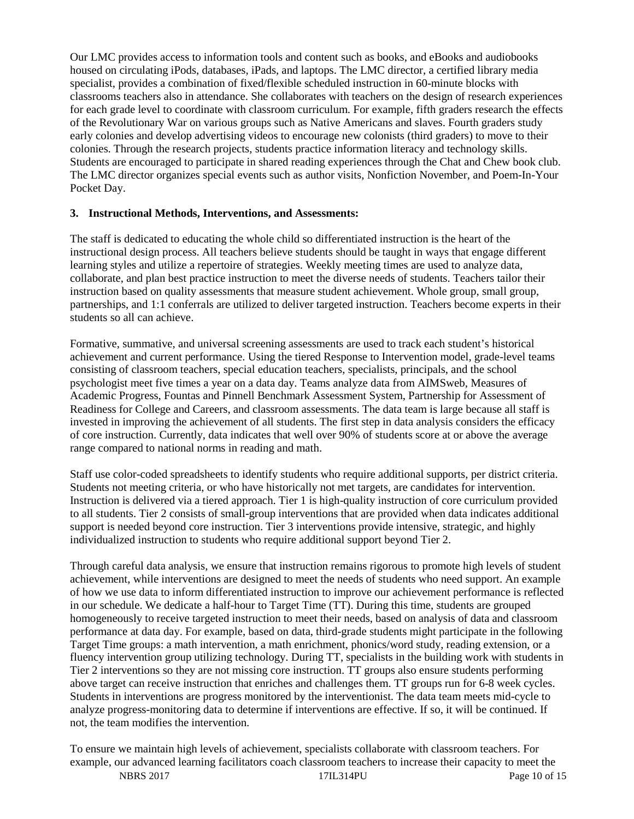Our LMC provides access to information tools and content such as books, and eBooks and audiobooks housed on circulating iPods, databases, iPads, and laptops. The LMC director, a certified library media specialist, provides a combination of fixed/flexible scheduled instruction in 60-minute blocks with classrooms teachers also in attendance. She collaborates with teachers on the design of research experiences for each grade level to coordinate with classroom curriculum. For example, fifth graders research the effects of the Revolutionary War on various groups such as Native Americans and slaves. Fourth graders study early colonies and develop advertising videos to encourage new colonists (third graders) to move to their colonies. Through the research projects, students practice information literacy and technology skills. Students are encouraged to participate in shared reading experiences through the Chat and Chew book club. The LMC director organizes special events such as author visits, Nonfiction November, and Poem-In-Your Pocket Day.

## **3. Instructional Methods, Interventions, and Assessments:**

The staff is dedicated to educating the whole child so differentiated instruction is the heart of the instructional design process. All teachers believe students should be taught in ways that engage different learning styles and utilize a repertoire of strategies. Weekly meeting times are used to analyze data, collaborate, and plan best practice instruction to meet the diverse needs of students. Teachers tailor their instruction based on quality assessments that measure student achievement. Whole group, small group, partnerships, and 1:1 conferrals are utilized to deliver targeted instruction. Teachers become experts in their students so all can achieve.

Formative, summative, and universal screening assessments are used to track each student's historical achievement and current performance. Using the tiered Response to Intervention model, grade-level teams consisting of classroom teachers, special education teachers, specialists, principals, and the school psychologist meet five times a year on a data day. Teams analyze data from AIMSweb, Measures of Academic Progress, Fountas and Pinnell Benchmark Assessment System, Partnership for Assessment of Readiness for College and Careers, and classroom assessments. The data team is large because all staff is invested in improving the achievement of all students. The first step in data analysis considers the efficacy of core instruction. Currently, data indicates that well over 90% of students score at or above the average range compared to national norms in reading and math.

Staff use color-coded spreadsheets to identify students who require additional supports, per district criteria. Students not meeting criteria, or who have historically not met targets, are candidates for intervention. Instruction is delivered via a tiered approach. Tier 1 is high-quality instruction of core curriculum provided to all students. Tier 2 consists of small-group interventions that are provided when data indicates additional support is needed beyond core instruction. Tier 3 interventions provide intensive, strategic, and highly individualized instruction to students who require additional support beyond Tier 2.

Through careful data analysis, we ensure that instruction remains rigorous to promote high levels of student achievement, while interventions are designed to meet the needs of students who need support. An example of how we use data to inform differentiated instruction to improve our achievement performance is reflected in our schedule. We dedicate a half-hour to Target Time (TT). During this time, students are grouped homogeneously to receive targeted instruction to meet their needs, based on analysis of data and classroom performance at data day. For example, based on data, third-grade students might participate in the following Target Time groups: a math intervention, a math enrichment, phonics/word study, reading extension, or a fluency intervention group utilizing technology. During TT, specialists in the building work with students in Tier 2 interventions so they are not missing core instruction. TT groups also ensure students performing above target can receive instruction that enriches and challenges them. TT groups run for 6-8 week cycles. Students in interventions are progress monitored by the interventionist. The data team meets mid-cycle to analyze progress-monitoring data to determine if interventions are effective. If so, it will be continued. If not, the team modifies the intervention.

To ensure we maintain high levels of achievement, specialists collaborate with classroom teachers. For example, our advanced learning facilitators coach classroom teachers to increase their capacity to meet the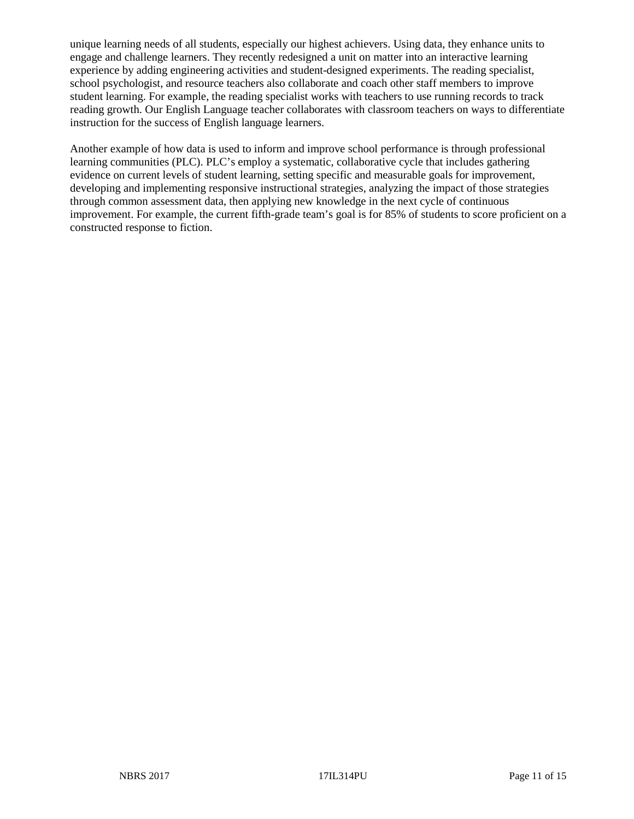unique learning needs of all students, especially our highest achievers. Using data, they enhance units to engage and challenge learners. They recently redesigned a unit on matter into an interactive learning experience by adding engineering activities and student-designed experiments. The reading specialist, school psychologist, and resource teachers also collaborate and coach other staff members to improve student learning. For example, the reading specialist works with teachers to use running records to track reading growth. Our English Language teacher collaborates with classroom teachers on ways to differentiate instruction for the success of English language learners.

Another example of how data is used to inform and improve school performance is through professional learning communities (PLC). PLC's employ a systematic, collaborative cycle that includes gathering evidence on current levels of student learning, setting specific and measurable goals for improvement, developing and implementing responsive instructional strategies, analyzing the impact of those strategies through common assessment data, then applying new knowledge in the next cycle of continuous improvement. For example, the current fifth-grade team's goal is for 85% of students to score proficient on a constructed response to fiction.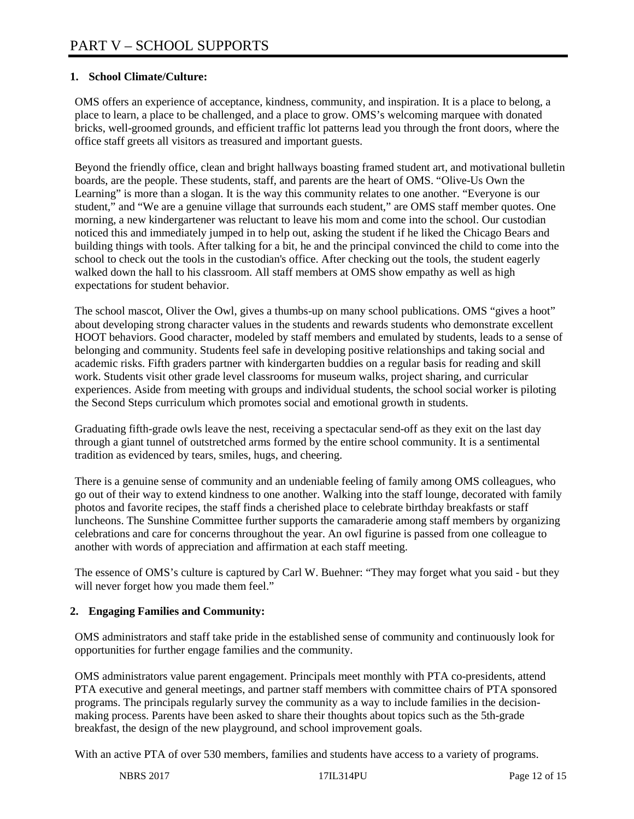# **1. School Climate/Culture:**

OMS offers an experience of acceptance, kindness, community, and inspiration. It is a place to belong, a place to learn, a place to be challenged, and a place to grow. OMS's welcoming marquee with donated bricks, well-groomed grounds, and efficient traffic lot patterns lead you through the front doors, where the office staff greets all visitors as treasured and important guests.

Beyond the friendly office, clean and bright hallways boasting framed student art, and motivational bulletin boards, are the people. These students, staff, and parents are the heart of OMS. "Olive-Us Own the Learning" is more than a slogan. It is the way this community relates to one another. "Everyone is our student," and "We are a genuine village that surrounds each student," are OMS staff member quotes. One morning, a new kindergartener was reluctant to leave his mom and come into the school. Our custodian noticed this and immediately jumped in to help out, asking the student if he liked the Chicago Bears and building things with tools. After talking for a bit, he and the principal convinced the child to come into the school to check out the tools in the custodian's office. After checking out the tools, the student eagerly walked down the hall to his classroom. All staff members at OMS show empathy as well as high expectations for student behavior.

The school mascot, Oliver the Owl, gives a thumbs-up on many school publications. OMS "gives a hoot" about developing strong character values in the students and rewards students who demonstrate excellent HOOT behaviors. Good character, modeled by staff members and emulated by students, leads to a sense of belonging and community. Students feel safe in developing positive relationships and taking social and academic risks. Fifth graders partner with kindergarten buddies on a regular basis for reading and skill work. Students visit other grade level classrooms for museum walks, project sharing, and curricular experiences. Aside from meeting with groups and individual students, the school social worker is piloting the Second Steps curriculum which promotes social and emotional growth in students.

Graduating fifth-grade owls leave the nest, receiving a spectacular send-off as they exit on the last day through a giant tunnel of outstretched arms formed by the entire school community. It is a sentimental tradition as evidenced by tears, smiles, hugs, and cheering.

There is a genuine sense of community and an undeniable feeling of family among OMS colleagues, who go out of their way to extend kindness to one another. Walking into the staff lounge, decorated with family photos and favorite recipes, the staff finds a cherished place to celebrate birthday breakfasts or staff luncheons. The Sunshine Committee further supports the camaraderie among staff members by organizing celebrations and care for concerns throughout the year. An owl figurine is passed from one colleague to another with words of appreciation and affirmation at each staff meeting.

The essence of OMS's culture is captured by Carl W. Buehner: "They may forget what you said - but they will never forget how you made them feel."

# **2. Engaging Families and Community:**

OMS administrators and staff take pride in the established sense of community and continuously look for opportunities for further engage families and the community.

OMS administrators value parent engagement. Principals meet monthly with PTA co-presidents, attend PTA executive and general meetings, and partner staff members with committee chairs of PTA sponsored programs. The principals regularly survey the community as a way to include families in the decisionmaking process. Parents have been asked to share their thoughts about topics such as the 5th-grade breakfast, the design of the new playground, and school improvement goals.

With an active PTA of over 530 members, families and students have access to a variety of programs.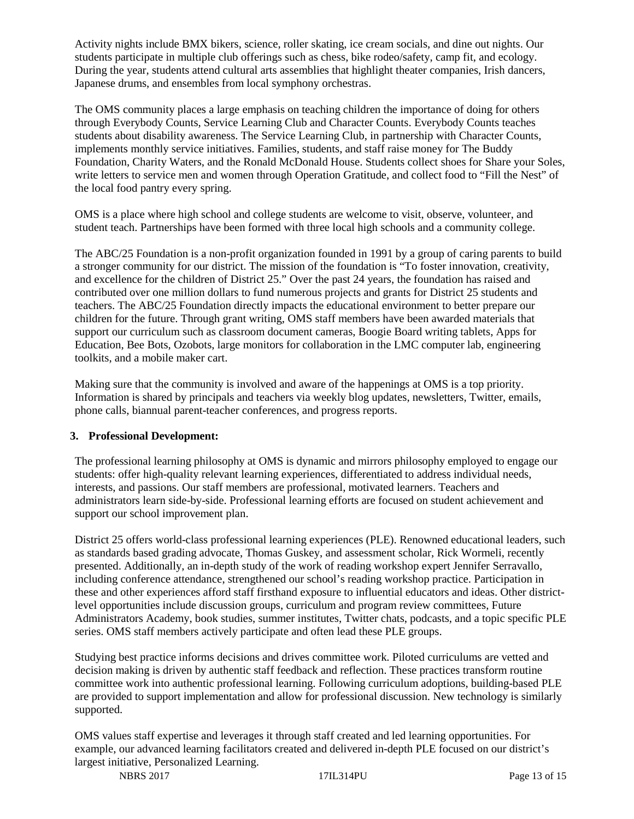Activity nights include BMX bikers, science, roller skating, ice cream socials, and dine out nights. Our students participate in multiple club offerings such as chess, bike rodeo/safety, camp fit, and ecology. During the year, students attend cultural arts assemblies that highlight theater companies, Irish dancers, Japanese drums, and ensembles from local symphony orchestras.

The OMS community places a large emphasis on teaching children the importance of doing for others through Everybody Counts, Service Learning Club and Character Counts. Everybody Counts teaches students about disability awareness. The Service Learning Club, in partnership with Character Counts, implements monthly service initiatives. Families, students, and staff raise money for The Buddy Foundation, Charity Waters, and the Ronald McDonald House. Students collect shoes for Share your Soles, write letters to service men and women through Operation Gratitude, and collect food to "Fill the Nest" of the local food pantry every spring.

OMS is a place where high school and college students are welcome to visit, observe, volunteer, and student teach. Partnerships have been formed with three local high schools and a community college.

The ABC/25 Foundation is a non-profit organization founded in 1991 by a group of caring parents to build a stronger community for our district. The mission of the foundation is "To foster innovation, creativity, and excellence for the children of District 25." Over the past 24 years, the foundation has raised and contributed over one million dollars to fund numerous projects and grants for District 25 students and teachers. The ABC/25 Foundation directly impacts the educational environment to better prepare our children for the future. Through grant writing, OMS staff members have been awarded materials that support our curriculum such as classroom document cameras, Boogie Board writing tablets, Apps for Education, Bee Bots, Ozobots, large monitors for collaboration in the LMC computer lab, engineering toolkits, and a mobile maker cart.

Making sure that the community is involved and aware of the happenings at OMS is a top priority. Information is shared by principals and teachers via weekly blog updates, newsletters, Twitter, emails, phone calls, biannual parent-teacher conferences, and progress reports.

#### **3. Professional Development:**

The professional learning philosophy at OMS is dynamic and mirrors philosophy employed to engage our students: offer high-quality relevant learning experiences, differentiated to address individual needs, interests, and passions. Our staff members are professional, motivated learners. Teachers and administrators learn side-by-side. Professional learning efforts are focused on student achievement and support our school improvement plan.

District 25 offers world-class professional learning experiences (PLE). Renowned educational leaders, such as standards based grading advocate, Thomas Guskey, and assessment scholar, Rick Wormeli, recently presented. Additionally, an in-depth study of the work of reading workshop expert Jennifer Serravallo, including conference attendance, strengthened our school's reading workshop practice. Participation in these and other experiences afford staff firsthand exposure to influential educators and ideas. Other districtlevel opportunities include discussion groups, curriculum and program review committees, Future Administrators Academy, book studies, summer institutes, Twitter chats, podcasts, and a topic specific PLE series. OMS staff members actively participate and often lead these PLE groups.

Studying best practice informs decisions and drives committee work. Piloted curriculums are vetted and decision making is driven by authentic staff feedback and reflection. These practices transform routine committee work into authentic professional learning. Following curriculum adoptions, building-based PLE are provided to support implementation and allow for professional discussion. New technology is similarly supported.

OMS values staff expertise and leverages it through staff created and led learning opportunities. For example, our advanced learning facilitators created and delivered in-depth PLE focused on our district's largest initiative, Personalized Learning.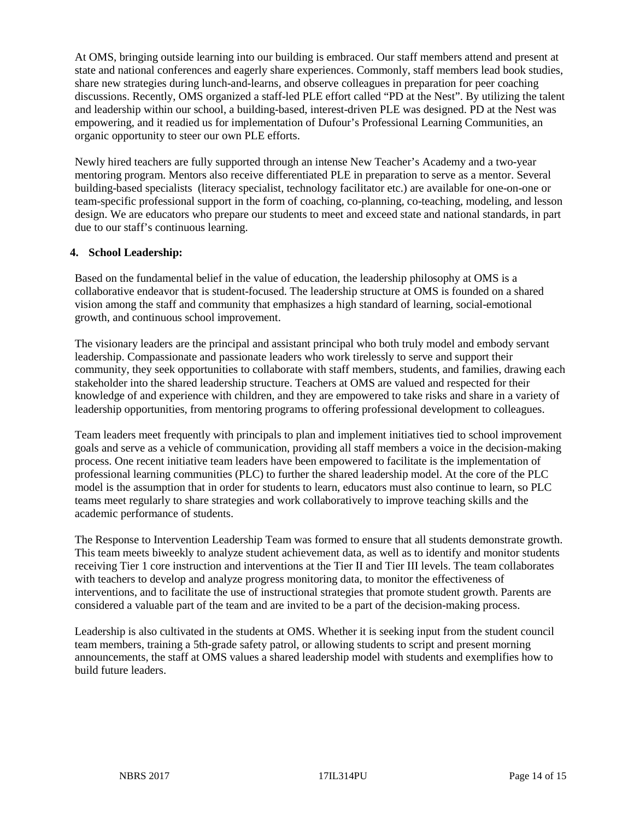At OMS, bringing outside learning into our building is embraced. Our staff members attend and present at state and national conferences and eagerly share experiences. Commonly, staff members lead book studies, share new strategies during lunch-and-learns, and observe colleagues in preparation for peer coaching discussions. Recently, OMS organized a staff-led PLE effort called "PD at the Nest". By utilizing the talent and leadership within our school, a building-based, interest-driven PLE was designed. PD at the Nest was empowering, and it readied us for implementation of Dufour's Professional Learning Communities, an organic opportunity to steer our own PLE efforts.

Newly hired teachers are fully supported through an intense New Teacher's Academy and a two-year mentoring program. Mentors also receive differentiated PLE in preparation to serve as a mentor. Several building-based specialists (literacy specialist, technology facilitator etc.) are available for one-on-one or team-specific professional support in the form of coaching, co-planning, co-teaching, modeling, and lesson design. We are educators who prepare our students to meet and exceed state and national standards, in part due to our staff's continuous learning.

## **4. School Leadership:**

Based on the fundamental belief in the value of education, the leadership philosophy at OMS is a collaborative endeavor that is student-focused. The leadership structure at OMS is founded on a shared vision among the staff and community that emphasizes a high standard of learning, social-emotional growth, and continuous school improvement.

The visionary leaders are the principal and assistant principal who both truly model and embody servant leadership. Compassionate and passionate leaders who work tirelessly to serve and support their community, they seek opportunities to collaborate with staff members, students, and families, drawing each stakeholder into the shared leadership structure. Teachers at OMS are valued and respected for their knowledge of and experience with children, and they are empowered to take risks and share in a variety of leadership opportunities, from mentoring programs to offering professional development to colleagues.

Team leaders meet frequently with principals to plan and implement initiatives tied to school improvement goals and serve as a vehicle of communication, providing all staff members a voice in the decision-making process. One recent initiative team leaders have been empowered to facilitate is the implementation of professional learning communities (PLC) to further the shared leadership model. At the core of the PLC model is the assumption that in order for students to learn, educators must also continue to learn, so PLC teams meet regularly to share strategies and work collaboratively to improve teaching skills and the academic performance of students.

The Response to Intervention Leadership Team was formed to ensure that all students demonstrate growth. This team meets biweekly to analyze student achievement data, as well as to identify and monitor students receiving Tier 1 core instruction and interventions at the Tier II and Tier III levels. The team collaborates with teachers to develop and analyze progress monitoring data, to monitor the effectiveness of interventions, and to facilitate the use of instructional strategies that promote student growth. Parents are considered a valuable part of the team and are invited to be a part of the decision-making process.

Leadership is also cultivated in the students at OMS. Whether it is seeking input from the student council team members, training a 5th-grade safety patrol, or allowing students to script and present morning announcements, the staff at OMS values a shared leadership model with students and exemplifies how to build future leaders.